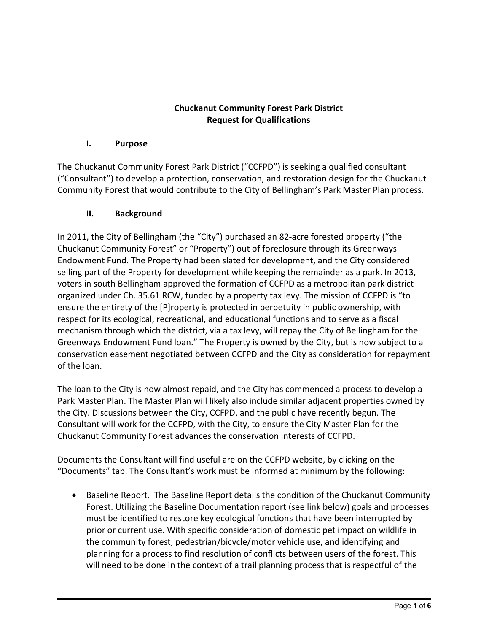## Chuckanut Community Forest Park District Request for Qualifications

#### I. Purpose

The Chuckanut Community Forest Park District ("CCFPD") is seeking a qualified consultant ("Consultant") to develop a protection, conservation, and restoration design for the Chuckanut Community Forest that would contribute to the City of Bellingham's Park Master Plan process.

#### II. Background

In 2011, the City of Bellingham (the "City") purchased an 82-acre forested property ("the Chuckanut Community Forest" or "Property") out of foreclosure through its Greenways Endowment Fund. The Property had been slated for development, and the City considered selling part of the Property for development while keeping the remainder as a park. In 2013, voters in south Bellingham approved the formation of CCFPD as a metropolitan park district organized under Ch. 35.61 RCW, funded by a property tax levy. The mission of CCFPD is "to ensure the entirety of the [P]roperty is protected in perpetuity in public ownership, with respect for its ecological, recreational, and educational functions and to serve as a fiscal mechanism through which the district, via a tax levy, will repay the City of Bellingham for the Greenways Endowment Fund loan." The Property is owned by the City, but is now subject to a conservation easement negotiated between CCFPD and the City as consideration for repayment of the loan.

The loan to the City is now almost repaid, and the City has commenced a process to develop a Park Master Plan. The Master Plan will likely also include similar adjacent properties owned by the City. Discussions between the City, CCFPD, and the public have recently begun. The Consultant will work for the CCFPD, with the City, to ensure the City Master Plan for the Chuckanut Community Forest advances the conservation interests of CCFPD.

Documents the Consultant will find useful are on the CCFPD website, by clicking on the "Documents" tab. The Consultant's work must be informed at minimum by the following:

• Baseline Report. The Baseline Report details the condition of the Chuckanut Community Forest. Utilizing the Baseline Documentation report (see link below) goals and processes must be identified to restore key ecological functions that have been interrupted by prior or current use. With specific consideration of domestic pet impact on wildlife in the community forest, pedestrian/bicycle/motor vehicle use, and identifying and planning for a process to find resolution of conflicts between users of the forest. This will need to be done in the context of a trail planning process that is respectful of the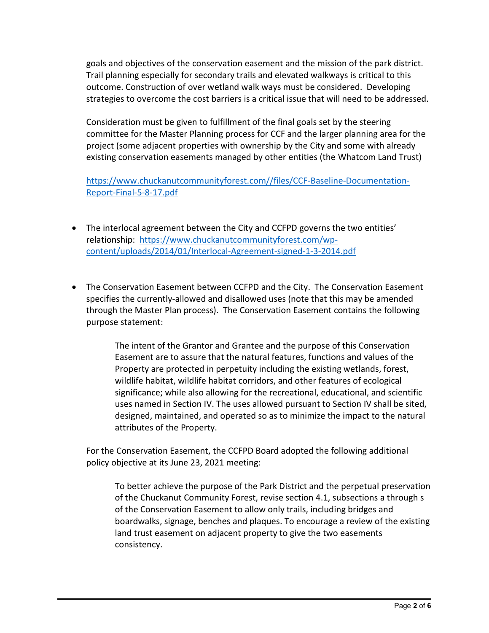goals and objectives of the conservation easement and the mission of the park district. Trail planning especially for secondary trails and elevated walkways is critical to this outcome. Construction of over wetland walk ways must be considered. Developing strategies to overcome the cost barriers is a critical issue that will need to be addressed.

Consideration must be given to fulfillment of the final goals set by the steering committee for the Master Planning process for CCF and the larger planning area for the project (some adjacent properties with ownership by the City and some with already existing conservation easements managed by other entities (the Whatcom Land Trust)

https://www.chuckanutcommunityforest.com//files/CCF-Baseline-Documentation-Report-Final-5-8-17.pdf

- The interlocal agreement between the City and CCFPD governs the two entities' relationship: https://www.chuckanutcommunityforest.com/wpcontent/uploads/2014/01/Interlocal-Agreement-signed-1-3-2014.pdf
- The Conservation Easement between CCFPD and the City. The Conservation Easement specifies the currently-allowed and disallowed uses (note that this may be amended through the Master Plan process). The Conservation Easement contains the following purpose statement:

The intent of the Grantor and Grantee and the purpose of this Conservation Easement are to assure that the natural features, functions and values of the Property are protected in perpetuity including the existing wetlands, forest, wildlife habitat, wildlife habitat corridors, and other features of ecological significance; while also allowing for the recreational, educational, and scientific uses named in Section IV. The uses allowed pursuant to Section IV shall be sited, designed, maintained, and operated so as to minimize the impact to the natural attributes of the Property.

For the Conservation Easement, the CCFPD Board adopted the following additional policy objective at its June 23, 2021 meeting:

To better achieve the purpose of the Park District and the perpetual preservation of the Chuckanut Community Forest, revise section 4.1, subsections a through s of the Conservation Easement to allow only trails, including bridges and boardwalks, signage, benches and plaques. To encourage a review of the existing land trust easement on adjacent property to give the two easements consistency.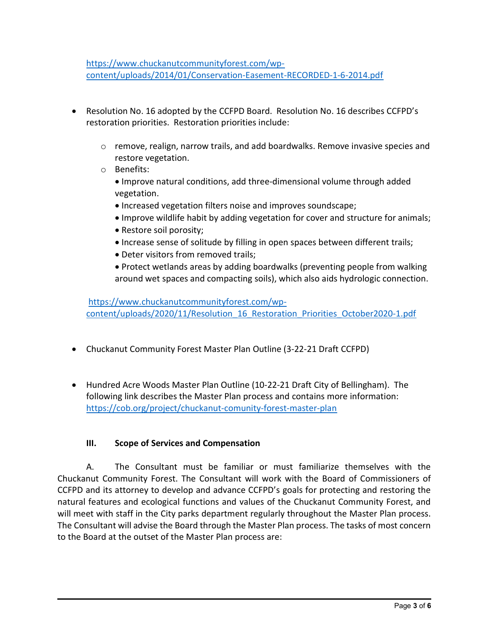https://www.chuckanutcommunityforest.com/wpcontent/uploads/2014/01/Conservation-Easement-RECORDED-1-6-2014.pdf

- Resolution No. 16 adopted by the CCFPD Board. Resolution No. 16 describes CCFPD's restoration priorities. Restoration priorities include:
	- $\circ$  remove, realign, narrow trails, and add boardwalks. Remove invasive species and restore vegetation.
	- o Benefits:
		- Improve natural conditions, add three-dimensional volume through added vegetation.
		- Increased vegetation filters noise and improves soundscape;
		- Improve wildlife habit by adding vegetation for cover and structure for animals;
		- Restore soil porosity;
		- Increase sense of solitude by filling in open spaces between different trails;
		- Deter visitors from removed trails;
		- Protect wetlands areas by adding boardwalks (preventing people from walking around wet spaces and compacting soils), which also aids hydrologic connection.

https://www.chuckanutcommunityforest.com/wpcontent/uploads/2020/11/Resolution\_16\_Restoration\_Priorities\_October2020-1.pdf

- Chuckanut Community Forest Master Plan Outline (3-22-21 Draft CCFPD)
- Hundred Acre Woods Master Plan Outline (10-22-21 Draft City of Bellingham). The following link describes the Master Plan process and contains more information: https://cob.org/project/chuckanut-comunity-forest-master-plan

#### III. Scope of Services and Compensation

A. The Consultant must be familiar or must familiarize themselves with the Chuckanut Community Forest. The Consultant will work with the Board of Commissioners of CCFPD and its attorney to develop and advance CCFPD's goals for protecting and restoring the natural features and ecological functions and values of the Chuckanut Community Forest, and will meet with staff in the City parks department regularly throughout the Master Plan process. The Consultant will advise the Board through the Master Plan process. The tasks of most concern to the Board at the outset of the Master Plan process are: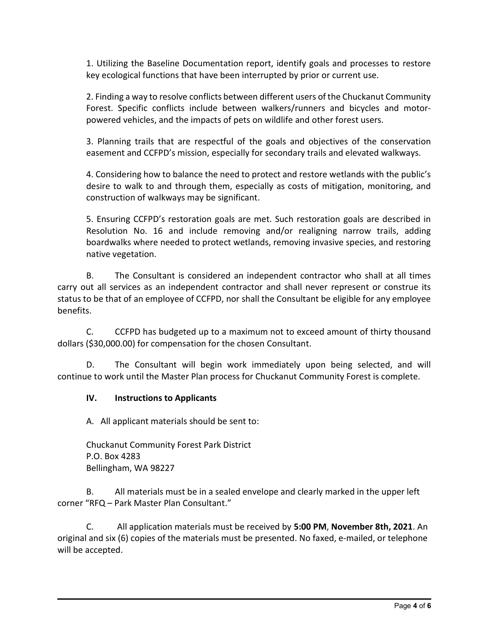1. Utilizing the Baseline Documentation report, identify goals and processes to restore key ecological functions that have been interrupted by prior or current use.

2. Finding a way to resolve conflicts between different users of the Chuckanut Community Forest. Specific conflicts include between walkers/runners and bicycles and motorpowered vehicles, and the impacts of pets on wildlife and other forest users.

3. Planning trails that are respectful of the goals and objectives of the conservation easement and CCFPD's mission, especially for secondary trails and elevated walkways.

4. Considering how to balance the need to protect and restore wetlands with the public's desire to walk to and through them, especially as costs of mitigation, monitoring, and construction of walkways may be significant.

5. Ensuring CCFPD's restoration goals are met. Such restoration goals are described in Resolution No. 16 and include removing and/or realigning narrow trails, adding boardwalks where needed to protect wetlands, removing invasive species, and restoring native vegetation.

 B. The Consultant is considered an independent contractor who shall at all times carry out all services as an independent contractor and shall never represent or construe its status to be that of an employee of CCFPD, nor shall the Consultant be eligible for any employee benefits.

C. CCFPD has budgeted up to a maximum not to exceed amount of thirty thousand dollars (\$30,000.00) for compensation for the chosen Consultant.

D. The Consultant will begin work immediately upon being selected, and will continue to work until the Master Plan process for Chuckanut Community Forest is complete.

#### IV. Instructions to Applicants

A. All applicant materials should be sent to:

Chuckanut Community Forest Park District P.O. Box 4283 Bellingham, WA 98227

B. All materials must be in a sealed envelope and clearly marked in the upper left corner "RFQ – Park Master Plan Consultant."

C. All application materials must be received by 5:00 PM, November 8th, 2021. An original and six (6) copies of the materials must be presented. No faxed, e-mailed, or telephone will be accepted.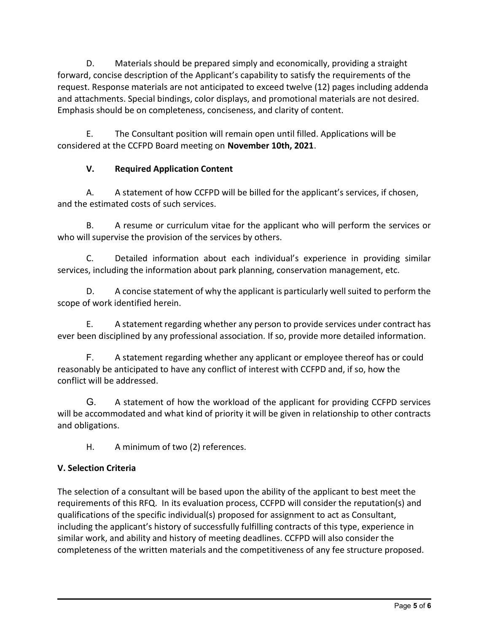D. Materials should be prepared simply and economically, providing a straight forward, concise description of the Applicant's capability to satisfy the requirements of the request. Response materials are not anticipated to exceed twelve (12) pages including addenda and attachments. Special bindings, color displays, and promotional materials are not desired. Emphasis should be on completeness, conciseness, and clarity of content.

E. The Consultant position will remain open until filled. Applications will be considered at the CCFPD Board meeting on November 10th, 2021.

# V. Required Application Content

A. A statement of how CCFPD will be billed for the applicant's services, if chosen, and the estimated costs of such services.

B. A resume or curriculum vitae for the applicant who will perform the services or who will supervise the provision of the services by others.

C. Detailed information about each individual's experience in providing similar services, including the information about park planning, conservation management, etc.

D. A concise statement of why the applicant is particularly well suited to perform the scope of work identified herein.

E. A statement regarding whether any person to provide services under contract has ever been disciplined by any professional association. If so, provide more detailed information.

F. A statement regarding whether any applicant or employee thereof has or could reasonably be anticipated to have any conflict of interest with CCFPD and, if so, how the conflict will be addressed.

G. A statement of how the workload of the applicant for providing CCFPD services will be accommodated and what kind of priority it will be given in relationship to other contracts and obligations.

H. A minimum of two (2) references.

# V. Selection Criteria

The selection of a consultant will be based upon the ability of the applicant to best meet the requirements of this RFQ. In its evaluation process, CCFPD will consider the reputation(s) and qualifications of the specific individual(s) proposed for assignment to act as Consultant, including the applicant's history of successfully fulfilling contracts of this type, experience in similar work, and ability and history of meeting deadlines. CCFPD will also consider the completeness of the written materials and the competitiveness of any fee structure proposed.